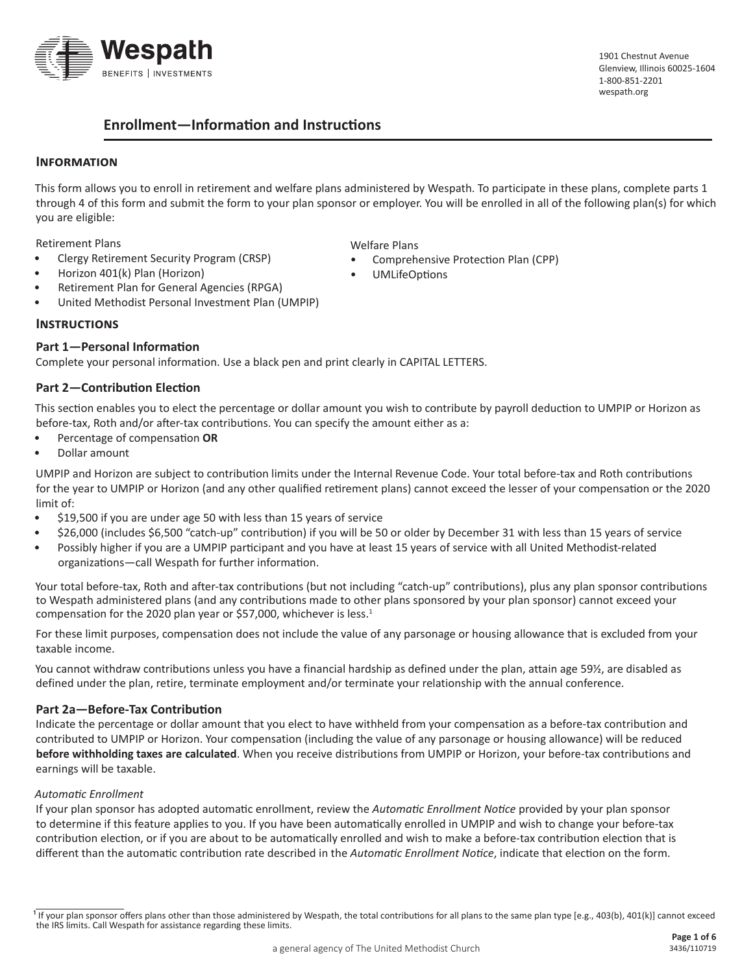

1901 Chestnut Avenue Glenview, Illinois 60025-1604 1-800-851-2201 [wespath.org](http://www.wespath.org)

# **Enrollment—Information and Instructions**

### **Information**

This form allows you to enroll in retirement and welfare plans administered by Wespath. To participate in these plans, complete parts 1 through 4 of this form and submit the form to your plan sponsor or employer. You will be enrolled in all of the following plan(s) for which you are eligible:

Welfare Plans

• UMLifeOptions

• Comprehensive Protection Plan (CPP)

Retirement Plans

- Clergy Retirement Security Program (CRSP)
- Horizon 401(k) Plan (Horizon)
- Retirement Plan for General Agencies (RPGA)
- United Methodist Personal Investment Plan (UMPIP)

#### **Instructions**

#### **Part 1—Personal Information**

Complete your personal information. Use a black pen and print clearly in CAPITAL LETTERS.

### **Part 2—Contribution Election**

This section enables you to elect the percentage or dollar amount you wish to contribute by payroll deduction to UMPIP or Horizon as before-tax, Roth and/or after-tax contributions. You can specify the amount either as a:

- Percentage of compensation **OR**
- Dollar amount

UMPIP and Horizon are subject to contribution limits under the Internal Revenue Code. Your total before-tax and Roth contributions for the year to UMPIP or Horizon (and any other qualified retirement plans) cannot exceed the lesser of your compensation or the 2020 limit of:

- \$19,500 if you are under age 50 with less than 15 years of service
- \$26,000 (includes \$6,500 "catch-up" contribution) if you will be 50 or older by December 31 with less than 15 years of service
- Possibly higher if you are a UMPIP participant and you have at least 15 years of service with all United Methodist-related organizations—call Wespath for further information.

Your total before-tax, Roth and after-tax contributions (but not including "catch-up" contributions), plus any plan sponsor contributions to Wespath administered plans (and any contributions made to other plans sponsored by your plan sponsor) cannot exceed your compensation for the 2020 plan year or \$57,000, whichever is less.<sup>1</sup>

For these limit purposes, compensation does not include the value of any parsonage or housing allowance that is excluded from your taxable income.

You cannot withdraw contributions unless you have a financial hardship as defined under the plan, attain age 59½, are disabled as defined under the plan, retire, terminate employment and/or terminate your relationship with the annual conference.

#### **Part 2a—Before-Tax Contribution**

Indicate the percentage or dollar amount that you elect to have withheld from your compensation as a before-tax contribution and contributed to UMPIP or Horizon. Your compensation (including the value of any parsonage or housing allowance) will be reduced **before withholding taxes are calculated**. When you receive distributions from UMPIP or Horizon, your before-tax contributions and earnings will be taxable.

#### *Automatic Enrollment*

If your plan sponsor has adopted automatic enrollment, review the *[Automatic Enrollment Notice](https://www.wespath.org/assets/1/7/40226.pdf)* provided by your plan sponsor to determine if this feature applies to you. If you have been automatically enrolled in UMPIP and wish to change your before-tax contribution election, or if you are about to be automatically enrolled and wish to make a before-tax contribution election that is different than the automatic contribution rate described in the *[Automatic Enrollment Notice](https://www.wespath.org/assets/1/7/40226.pdf)*, indicate that election on the form.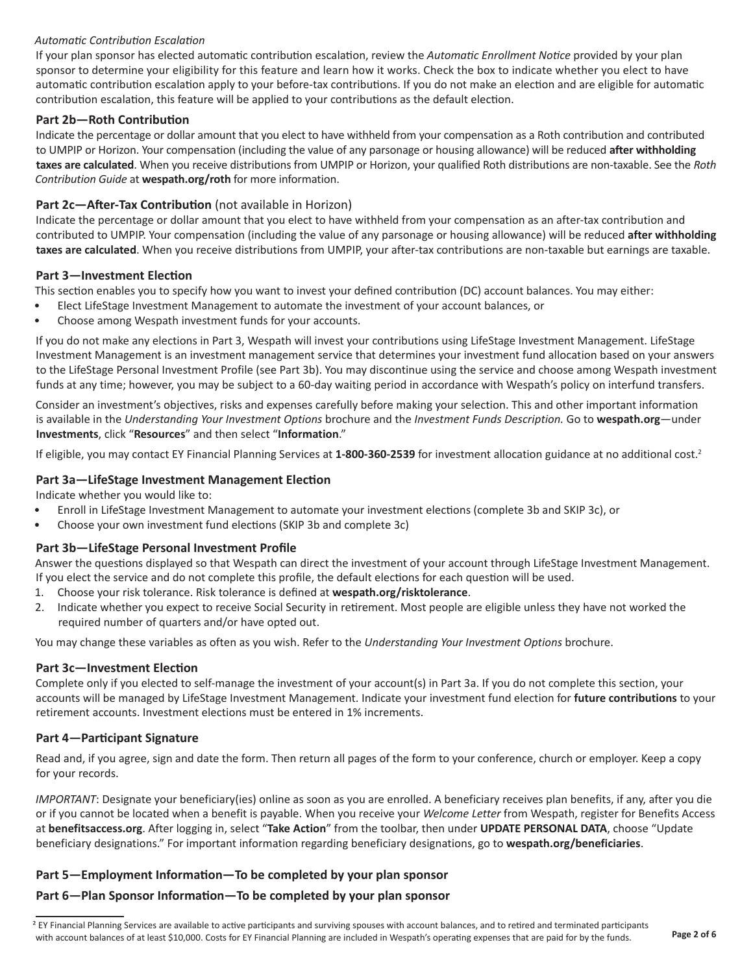## *Automatic Contribution Escalation*

If your plan sponsor has elected automatic contribution escalation, review the *[Automatic Enrollment Notice](https://www.wespath.org/assets/1/7/40226.pdf)* provided by your plan sponsor to determine your eligibility for this feature and learn how it works. Check the box to indicate whether you elect to have automatic contribution escalation apply to your before-tax contributions. If you do not make an election and are eligible for automatic contribution escalation, this feature will be applied to your contributions as the default election.

## **Part 2b—Roth Contribution**

Indicate the percentage or dollar amount that you elect to have withheld from your compensation as a Roth contribution and contributed to UMPIP or Horizon. Your compensation (including the value of any parsonage or housing allowance) will be reduced **after withholding taxes are calculated**. When you receive distributions from UMPIP or Horizon, your qualified Roth distributions are non-taxable. See the *Roth Contribution Guide* at **[wespath.org/r](http://www.wespath.org/assets/1/7/4834.pdf)oth** for more information.

# **Part 2c—After-Tax Contribution** (not available in Horizon)

Indicate the percentage or dollar amount that you elect to have withheld from your compensation as an after-tax contribution and contributed to UMPIP. Your compensation (including the value of any parsonage or housing allowance) will be reduced **after withholding taxes are calculated**. When you receive distributions from UMPIP, your after-tax contributions are non-taxable but earnings are taxable.

## **Part 3—Investment Election**

This section enables you to specify how you want to invest your defined contribution (DC) account balances. You may either:

- Elect LifeStage Investment Management to automate the investment of your account balances, or
- Choose among Wespath investment funds for your accounts.

If you do not make any elections in Part 3, Wespath will invest your contributions using LifeStage Investment Management. LifeStage Investment Management is an investment management service that determines your investment fund allocation based on your answers to the LifeStage Personal Investment Profile (see Part 3b). You may discontinue using the service and choose among Wespath investment funds at any time; however, you may be subject to a 60-day waiting period in accordance with Wespath's policy on interfund transfers.

Consider an investment's objectives, risks and expenses carefully before making your selection. This and other important information is available in the *Understanding Your Investment Options* brochure and the *Investment Funds Description.* Go to **[wespath.org](http://www.wespath.org)**—under **Investments**, click "**Resources**" and then select "**Information**."

If eligible, you may contact EY Financial Planning Services at **1-800-360-2539** for investment allocation guidance at no additional cost. 2

# **Part 3a—LifeStage Investment Management Election**

Indicate whether you would like to:

- Enroll in LifeStage Investment Management to automate your investment elections (complete 3b and SKIP 3c), or
- Choose your own investment fund elections (SKIP 3b and complete 3c)

# **Part 3b—LifeStage Personal Investment Profile**

Answer the questions displayed so that Wespath can direct the investment of your account through LifeStage Investment Management. If you elect the service and do not complete this profile, the default elections for each question will be used.

- 1. Choose your risk tolerance. Risk tolerance is defined at **[wespath.org/risktolerance](http://www.wespath.org/risktolerance)**.
- 2. Indicate whether you expect to receive Social Security in retirement. Most people are eligible unless they have not worked the required number of quarters and/or have opted out.

You may change these variables as often as you wish. Refer to the *Understanding Your Investment Options* brochure.

# **Part 3c—Investment Election**

Complete only if you elected to self-manage the investment of your account(s) in Part 3a. If you do not complete this section, your accounts will be managed by LifeStage Investment Management. Indicate your investment fund election for **future contributions** to your retirement accounts. Investment elections must be entered in 1% increments.

# **Part 4—Participant Signature**

Read and, if you agree, sign and date the form. Then return all pages of the form to your conference, church or employer. Keep a copy for your records.

*IMPORTANT*: Designate your beneficiary(ies) online as soon as you are enrolled. A beneficiary receives plan benefits, if any, after you die or if you cannot be located when a benefit is payable. When you receive your *Welcome Letter* from Wespath, register for Benefits Access at **benefitsaccess.org**. After logging in, select "**Take Action**" from the toolbar, then under **UPDATE PERSONAL DATA**, choose "Update beneficiary designations." For important information regarding beneficiary designations, go to **wespath.org/beneficiaries**.

# **Part 5—Employment Information—To be completed by your plan sponsor**

# **Part 6—Plan Sponsor Information—To be completed by your plan sponsor**

<sup>&</sup>lt;sup>2</sup> EY Financial Planning Services are available to active participants and surviving spouses with account balances, and to retired and terminated participants with account balances of at least \$10,000. Costs for EY Financial Planning are included in Wespath's operating expenses that are paid for by the funds.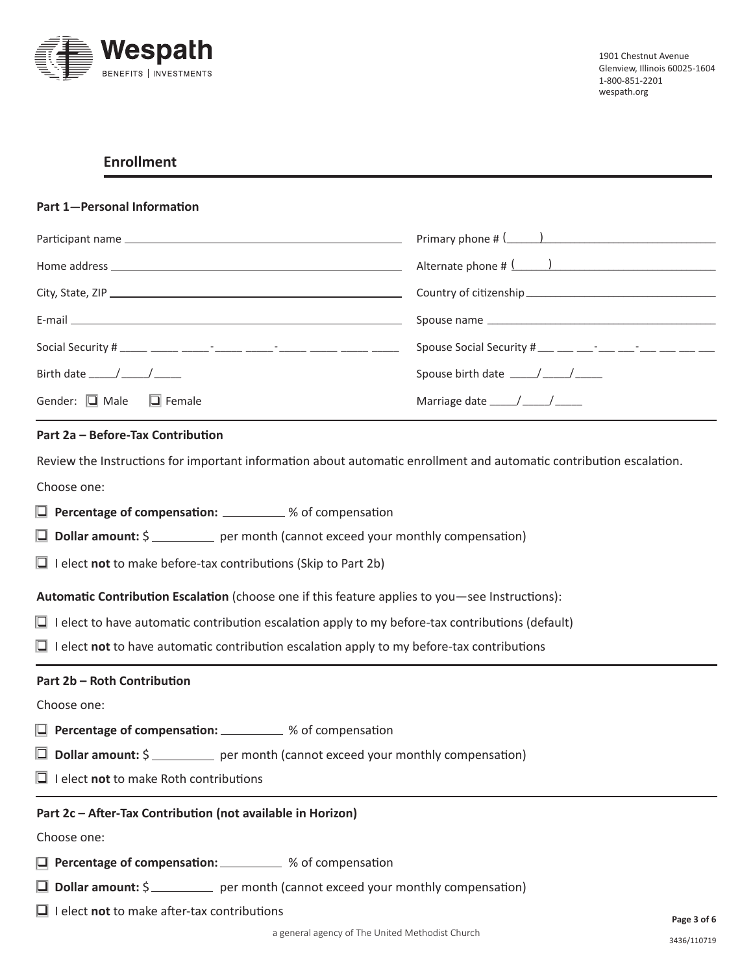

# **Enrollment**

#### **Part 1—Personal Information**

|                                                                              | Primary phone # $($ \component \component \component \component \component \component \component \component \component \component \component \component \component \component \component \component \component \component \com |
|------------------------------------------------------------------------------|--------------------------------------------------------------------------------------------------------------------------------------------------------------------------------------------------------------------------------|
|                                                                              |                                                                                                                                                                                                                                |
|                                                                              |                                                                                                                                                                                                                                |
|                                                                              |                                                                                                                                                                                                                                |
| Social Security # _____ _____ ______- ______ ______ -_____ _____ _____ _____ | Spouse Social Security # ___ __ __ -__ -__ __ __ __ __ __ __                                                                                                                                                                   |
| Birth date $\_\_\_\_\_\_\_\_\_\_\_\_\_\_\_\_\_\_\_\_\_$                      | Spouse birth date $\frac{1}{2}$ $\frac{1}{2}$ $\frac{1}{2}$ $\frac{1}{2}$ $\frac{1}{2}$                                                                                                                                        |
| Gender: $\Box$ Male $\Box$ Female                                            | Marriage date $\frac{1}{\sqrt{1-\frac{1}{2}}}$                                                                                                                                                                                 |

#### **Part 2a – Before-Tax Contribution**

Review the Instructions for important information about automatic enrollment and automatic contribution escalation.

Choose one:

- **Q** Percentage of compensation: \_\_\_\_\_\_\_\_ % of compensation
- **D** Dollar amount: \$ \_\_\_\_\_\_\_\_\_ per month (cannot exceed your monthly compensation)
- $\Box$  I elect **not** to make before-tax contributions (Skip to Part 2b)

**Automatic Contribution Escalation** (choose one if this feature applies to you—see Instructions):

- $\Box$  I elect to have automatic contribution escalation apply to my before-tax contributions (default)
- $\Box$  I elect **not** to have automatic contribution escalation apply to my before-tax contributions

#### **Part 2b – Roth Contribution**

Choose one:

- **Q** Percentage of compensation: \_\_\_\_\_\_\_\_\_ % of compensation
- **D** Dollar amount: \$ \_\_\_\_\_\_\_\_ per month (cannot exceed your monthly compensation)
- $\Box$  I elect **not** to make Roth contributions

#### **Part 2c – After-Tax Contribution (not available in Horizon)**

Choose one:

- q **Percentage of compensation:** % of compensation
- **Q** Dollar amount: \$ per month (cannot exceed your monthly compensation)
- $\Box$  I elect **not** to make after-tax contributions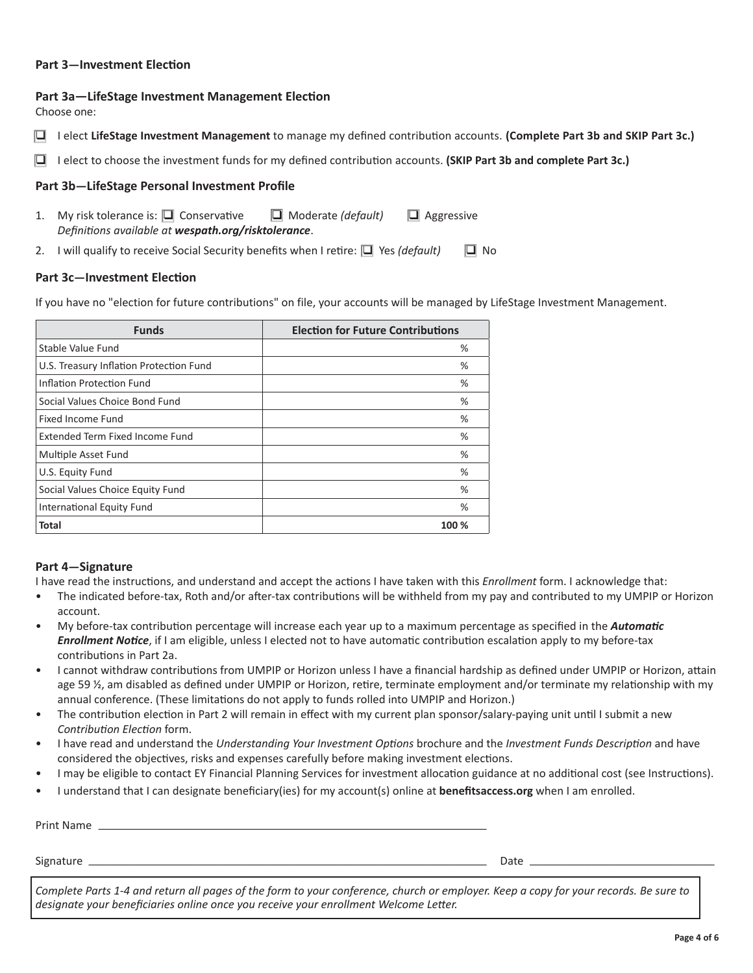### **Part 3—Investment Election**

### **Part 3a—LifeStage Investment Management Election**

Choose one:

- q I elect **LifeStage Investment Management** to manage my defined contribution accounts. **(Complete Part 3b and SKIP Part 3c.)**
- q I elect to choose the investment funds for my defined contribution accounts. **(SKIP Part 3b and complete Part 3c.)**

### **Part 3b—LifeStage Personal Investment Profile**

- 1. My risk tolerance is:  $\Box$  Conservative  $\Box$  Moderate *(default)*  $\Box$  Aggressive *Definitions available at wespath.org/risktolerance*.
- 2. I will qualify to receive Social Security benefits when I retire:  $\Box$  Yes *(default)*  $\Box$  No

#### **Part 3c—Investment Election**

If you have no "election for future contributions" on file, your accounts will be managed by LifeStage Investment Management.

| <b>Funds</b>                            | <b>Election for Future Contributions</b> |
|-----------------------------------------|------------------------------------------|
| Stable Value Fund                       | %                                        |
| U.S. Treasury Inflation Protection Fund | $\%$                                     |
| Inflation Protection Fund               | %                                        |
| Social Values Choice Bond Fund          | $\%$                                     |
| Fixed Income Fund                       | %                                        |
| Extended Term Fixed Income Fund         | $\%$                                     |
| Multiple Asset Fund                     | %                                        |
| U.S. Equity Fund                        | %                                        |
| Social Values Choice Equity Fund        | $\%$                                     |
| International Equity Fund               | %                                        |
| <b>Total</b>                            | 100 %                                    |

### **Part 4—Signature**

I have read the instructions, and understand and accept the actions I have taken with this *Enrollment* form. I acknowledge that:

- The indicated before-tax, Roth and/or after-tax contributions will be withheld from my pay and contributed to my UMPIP or Horizon account.
- My before-tax contribution percentage will increase each year up to a maximum percentage as specified in the *Automatic Enrollment Notice*, if I am eligible, unless I elected not to have automatic contribution escalation apply to my before-tax contributions in Part 2a.
- I cannot withdraw contributions from UMPIP or Horizon unless I have a financial hardship as defined under UMPIP or Horizon, attain age 59 ½, am disabled as defined under UMPIP or Horizon, retire, terminate employment and/or terminate my relationship with my annual conference. (These limitations do not apply to funds rolled into UMPIP and Horizon.)
- The contribution election in Part 2 will remain in effect with my current plan sponsor/salary-paying unit until I submit a new *Contribution Election* form.
- I have read and understand the *Understanding Your Investment Options* brochure and the *Investment Funds Description* and have considered the objectives, risks and expenses carefully before making investment elections.
- I may be eligible to contact EY Financial Planning Services for investment allocation guidance at no additional cost (see Instructions).
- I understand that I can designate beneficiary(ies) for my account(s) online at **benefitsaccess.org** when I am enrolled.

| Print Name  |                               |   |
|-------------|-------------------------------|---|
| Signature _ | Date                          |   |
|             | and the state of the state of | . |

*Complete Parts 1-4 and return all pages of the form to your conference, church or employer. Keep a copy for your records. Be sure to designate your beneficiaries online once you receive your enrollment Welcome Letter.*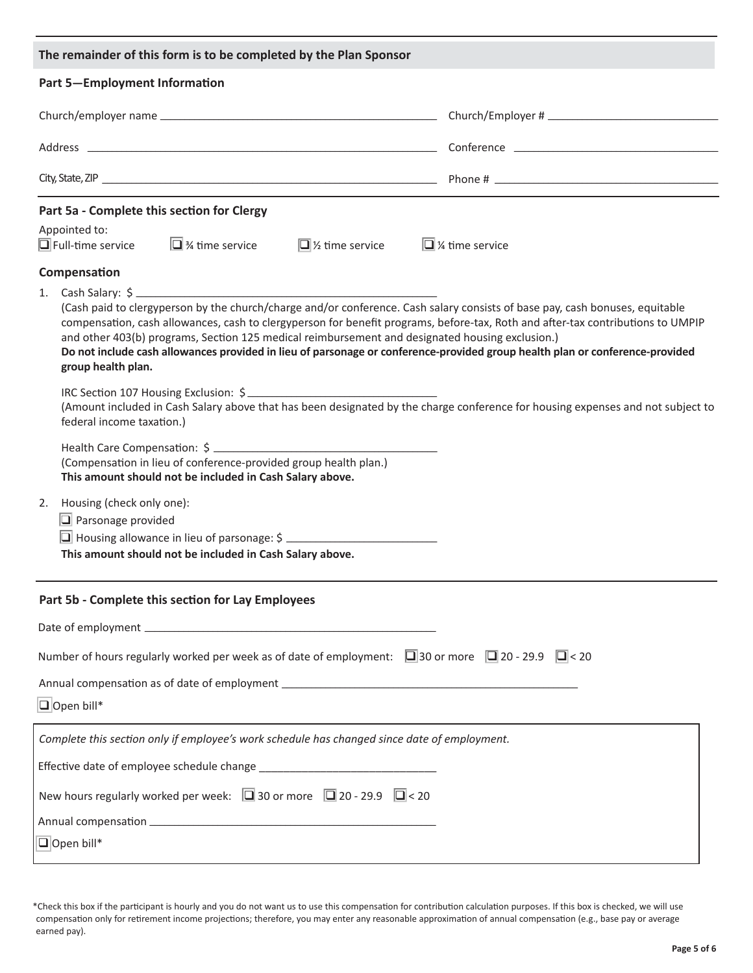| The remainder of this form is to be completed by the Plan Sponsor                                                                                                                                                                                                                                                                                                                                                                                                                                                                              |  |  |
|------------------------------------------------------------------------------------------------------------------------------------------------------------------------------------------------------------------------------------------------------------------------------------------------------------------------------------------------------------------------------------------------------------------------------------------------------------------------------------------------------------------------------------------------|--|--|
| <b>Part 5-Employment Information</b>                                                                                                                                                                                                                                                                                                                                                                                                                                                                                                           |  |  |
|                                                                                                                                                                                                                                                                                                                                                                                                                                                                                                                                                |  |  |
|                                                                                                                                                                                                                                                                                                                                                                                                                                                                                                                                                |  |  |
|                                                                                                                                                                                                                                                                                                                                                                                                                                                                                                                                                |  |  |
| Part 5a - Complete this section for Clergy<br>Appointed to:<br>$\Box$ Full-time service $\Box$ % time service<br>$\Box$ % time service<br>$\Box$ % time service                                                                                                                                                                                                                                                                                                                                                                                |  |  |
| Compensation                                                                                                                                                                                                                                                                                                                                                                                                                                                                                                                                   |  |  |
| 1. Cash Salary: \$<br>(Cash paid to clergyperson by the church/charge and/or conference. Cash salary consists of base pay, cash bonuses, equitable<br>compensation, cash allowances, cash to clergyperson for benefit programs, before-tax, Roth and after-tax contributions to UMPIP<br>and other 403(b) programs, Section 125 medical reimbursement and designated housing exclusion.)<br>Do not include cash allowances provided in lieu of parsonage or conference-provided group health plan or conference-provided<br>group health plan. |  |  |
| IRC Section 107 Housing Exclusion: \$<br>(Amount included in Cash Salary above that has been designated by the charge conference for housing expenses and not subject to<br>federal income taxation.)                                                                                                                                                                                                                                                                                                                                          |  |  |
| (Compensation in lieu of conference-provided group health plan.)<br>This amount should not be included in Cash Salary above.                                                                                                                                                                                                                                                                                                                                                                                                                   |  |  |
| Housing (check only one):<br>2.<br>$\Box$ Parsonage provided<br>This amount should not be included in Cash Salary above.                                                                                                                                                                                                                                                                                                                                                                                                                       |  |  |
| Part 5b - Complete this section for Lay Employees                                                                                                                                                                                                                                                                                                                                                                                                                                                                                              |  |  |
|                                                                                                                                                                                                                                                                                                                                                                                                                                                                                                                                                |  |  |
| Number of hours regularly worked per week as of date of employment: $\Box$ 30 or more $\Box$ 20 - 29.9 $\Box$ < 20                                                                                                                                                                                                                                                                                                                                                                                                                             |  |  |
| $\Box$ Open bill*                                                                                                                                                                                                                                                                                                                                                                                                                                                                                                                              |  |  |
| Complete this section only if employee's work schedule has changed since date of employment.                                                                                                                                                                                                                                                                                                                                                                                                                                                   |  |  |
|                                                                                                                                                                                                                                                                                                                                                                                                                                                                                                                                                |  |  |
| New hours regularly worked per week: $\Box$ 30 or more $\Box$ 20 - 29.9 $\Box$ < 20                                                                                                                                                                                                                                                                                                                                                                                                                                                            |  |  |
|                                                                                                                                                                                                                                                                                                                                                                                                                                                                                                                                                |  |  |
| $\Box$ Open bill*                                                                                                                                                                                                                                                                                                                                                                                                                                                                                                                              |  |  |

<sup>\*</sup>Check this box if the participant is hourly and you do not want us to use this compensation for contribution calculation purposes. If this box is checked, we will use compensation only for retirement income projections; therefore, you may enter any reasonable approximation of annual compensation (e.g., base pay or average earned pay).